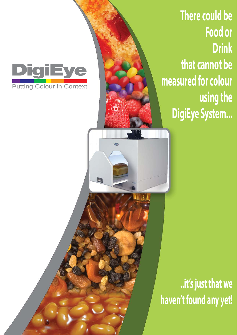**igiE** Putting Colour in Context

E

**There could be Food or Drink that cannot be measured for colour using the DigiEye System...**

**..it's just that we haven't found any yet!**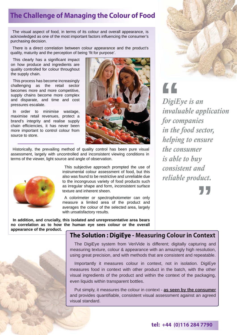## **The Challenge of Managing the Colour of Food**

The visual aspect of food, in terms of its colour and overall appearance, is acknowledged as one of the most important factors influencing the consumer's purchasing decision.

There is a direct correlation between colour appearance and the product's quality, maturity and the perception of being 'fit for purpose'.

This clearly has a significant impact on how produce and ingredients are quality controlled for colour throughout the supply chain.

This process has become increasingly challenging as the retail sector becomes more and more competitive, supply chains become more complex and disparate, and time and cost pressures escalate.

In order to minimise wastage, maximise retail revenues, protect a brand's integrity and realise supply chain efficiencies, it has never been more important to control colour from source to store.



Historically, the prevailing method of quality control has been pure visual assessment, largely with uncontrolled and inconsistent viewing conditions in terms of the viewer, light source and angle of observation.



This subjective approach prompted the use of instrumental colour assessment of food, but this also was found to be restrictive and unreliable due to the incongruous variety of food products such as irregular shape and form, inconsistent surface texture and inherent sheen.

A colorimeter or spectrophotometer can only measure a limited area of the product and averages the colour of the selected area, largely with unsatisfactory results.

**In addition, and crucially, this isolated and unrepresentative area bears no correlation as to how the human eye sees colour or the overall** 





The DigiEye system from VeriVide is different; digitally capturing and measuring texture, colour & appearance with an amazingly high resolution, using great precision, and with methods that are consistent and repeatable.

Importantly it measures colour in context, not in isolation. DigiEye measures food in context with other product in the batch, with the other visual ingredients of the product and within the context of the packaging, even liquids within transparent bottles.

Put simply, it measures the colour in context - **as seen by the consumer** and provides quantifiable, consistent visual assessment against an agreed visual standard.



*DigiEye is an invaluable application for companies in the food sector, helping to ensure the consumer is able to buy consistent and reliable product.* **"**

**"**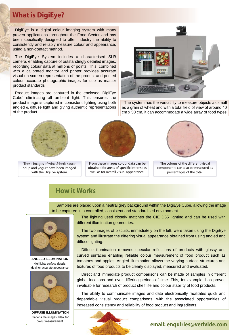### **What is DigiEye?**

DigiEye is a digital colour imaging system with many proven applications throughout the Food Sector and has been specifically designed to offer industry the ability to consistently and reliably measure colour and appearance, using a non-contact method.

The DigiEye System includes a characterised SLR camera, enabling capture of outstandingly detailed images, recording colour data at millions of points. This, combined with a calibrated monitor and printer provides accurate visual on-screen representation of the product and printed colour accurate photographic images for use as master product standards

Product images are captured in the enclosed 'DigiEye Cube' eliminating all ambient light. This ensures the product image is captured in consistent lighting using both angled & diffuse light and giving authentic representations of the product.



 These images of wine & herb sauce, soup and yogurt have been imaged with the DigiEye system.

From these images colour data can be obtained for areas of specific interest as well as for overall visual appearance.



The system has the versatility to measure objects as small as a grain of wheat and with a total field of view of around 40 cm x 50 cm, it can accommodate a wide array of food types.



The colours of the different visual components can also be measured as percentages of the total.

## **How it Works**

Samples are placed upon a neutral grey background within the DigiEye Cube, allowing the image to be captured in a controlled, consistent and standardised environment.



**ANGLED ILLUMINATION** Highlights surface details. Ideal for accurate appearance.



**DIFFUSE ILLUMINATION** Flattens the images. Ideal for colour measurement.

The lighting used closely matches the CIE D65 lighting and can be used with different illumination geometries.

The two images of biscuits, immediately on the left, were taken using the DigiEye system and illustrate the differing visual appearance obtained from using angled and diffuse lighting.

Diffuse illumination removes specular reflections of products with glossy and curved surfaces enabling reliable colour measurement of food product such as tomatoes and apples. Angled illumination allows the varying surface structures and textures of food products to be clearly displayed, measured and evaluated.

Direct and immediate product comparisons can be made of samples in different global locations and over differing periods of time. This, for example, has proved invaluable for research of product shelf life and colour stability of food products.

The ability to communicate images and data electronically facilitates quick and dependable visual product comparisons, with the associated opportunities of increased consistency and reliability of food product and ingredients.



#### **email: enquiries@verivide.com**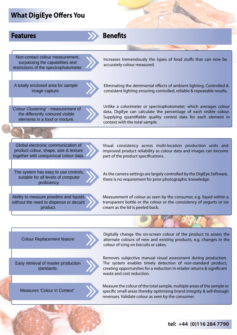## **What DigiEye Offers You**

#### **Features**

Non-contact colour measurement, surpassing the capabilities and restrictions of the spectrophotometer.

Increases tremendously the types of food stuffs that can now be accurately colour measured.

**Benefits Benefits**

A totally enclosed area for sample image capture.

Eliminating the detrimental effects of ambient lighting. Controlled & consistent lighting ensuring controlled, reliable & repeatable results.

*'Colour Clustering' -* measurement of the differently coloured visible elements in a food or mixture.

Unlike a colorimeter or spectrophotometer, which averages colour data, DigiEye can calculate the percentage of each visible colour. Supplying quantifiable quality control data for each element in context with the total sample.

Global electronic communication of product colour, shape, size & texture together with unequivocal colour data. Visual consistency across multi-location production units and improved product reliability as colour data and images can become part of the product specifications.

The system has easy to use controls, suitable for all levels of computer proficiency.

As the camera settings are largely controlled by the DigiEye Software, there is no requirement for prior photographic knowledge.

Ability to measure powders and liquids without the need to dispense or decant product.

Measurement of colour as seen by the consumer, e.g. liquid within a transparent bottle or the colour or the consistency of yogurts or ice cream as the lid is peeled back.

Colour Replacement feature

Easy retrieval of master production standards.

Digitally change the on-screen colour of the product to assess the alternate colours of new and existing products, e.g. changes in the colour of icing on biscuits or cakes.

Removes subjective manual visual assessment during production. The system enables timely detection of non-standard product, creating opportunities for a reduction in retailer returns & significant waste and cost reduction.

Measures 'Colour in Context'



#### **tel: +44 (0)116 284 7790**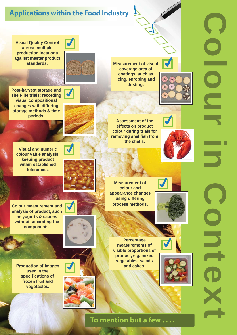# **Applications within the Food Industry**

**Visual Quality Control across multiple production locations against master product standards.** 

**Post-harvest storage and shelf-life trials; recording visual compositional changes with differing storage methods & time periods.** 

> **Visual and numeric colour value analysis, keeping product within established tolerances.**

**Colour measurement and analysis of product, such as yogurts & sauces without separating the components.**

**Production of images used in the specifications of frozen fruit and vegetables.**



**Measurement of visual coverage area of coatings, such as icing, enrobing and dusting.**



**Assessment of the effects on product colour during trials for removing shellfish from the shells.**



**Measurement of colour and appearance changes using differing process methods.**



**Percentage measurements of visible proportions of product, e.g. mixed vegetables, salads and cakes.**





Colour in Diext Ċ

**To mention but a few . . . .**